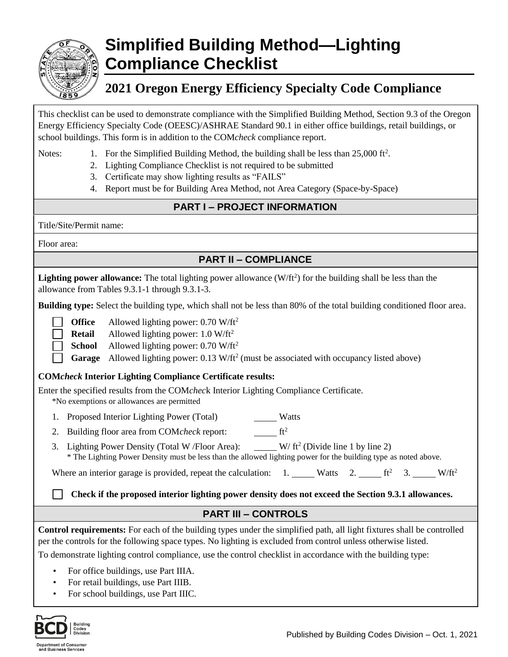

# **Simplified Building Method—Lighting Compliance Checklist**

# **2021 Oregon Energy Efficiency Specialty Code Compliance**

This checklist can be used to demonstrate compliance with the Simplified Building Method, Section 9.3 of the Oregon Energy Efficiency Specialty Code (OEESC)/ASHRAE Standard 90.1 in either office buildings, retail buildings, or school buildings. This form is in addition to the COM*check* compliance report.

- Notes: 1. For the Simplified Building Method, the building shall be less than 25,000 ft<sup>2</sup>.
	- 2. Lighting Compliance Checklist is not required to be submitted
	- 3. Certificate may show lighting results as "FAILS"
	- 4. Report must be for Building Area Method, not Area Category (Space-by-Space)

## **PART I – PROJECT INFORMATION**

Title/Site/Permit name:

Floor area:

# **PART II – COMPLIANCE**

Lighting power allowance: The total lighting power allowance (W/ft<sup>2</sup>) for the building shall be less than the allowance from Tables 9.3.1-1 through 9.3.1-3.

**Building type:** Select the building type, which shall not be less than 80% of the total building conditioned floor area.

**Office** Allowed lighting power: 0.70 W/ft<sup>2</sup>

- **Retail** Allowed lighting power: 1.0 W/ft<sup>2</sup>
- **School** Allowed lighting power: 0.70 W/ft<sup>2</sup>

Garage Allowed lighting power: 0.13 W/ft<sup>2</sup> (must be associated with occupancy listed above)

#### **COM***check* **Interior Lighting Compliance Certificate results:**

Enter the specified results from the COM*chec*k Interior Lighting Compliance Certificate.

\*No exemptions or allowances are permitted

- 1. Proposed Interior Lighting Power (Total) Matts
- 2. Building floor area from COM*check* report:  $f^2$
- 3. Lighting Power Density (Total W / Floor Area):  $W/ft^2$  (Divide line 1 by line 2) \* The Lighting Power Density must be less than the allowed lighting power for the building type as noted above.

Where an interior garage is provided, repeat the calculation:  $1.$  Watts  $2.$  ft<sup>2</sup> 3. W/ft<sup>2</sup>

**Check if the proposed interior lighting power density does not exceed the Section 9.3.1 allowances.**

## **PART III – CONTROLS**

**Control requirements:** For each of the building types under the simplified path, all light fixtures shall be controlled per the controls for the following space types. No lighting is excluded from control unless otherwise listed.

To demonstrate lighting control compliance, use the control checklist in accordance with the building type:

- For office buildings, use Part IIIA.
- For retail buildings, use Part IIIB.
- For school buildings, use Part IIIC.

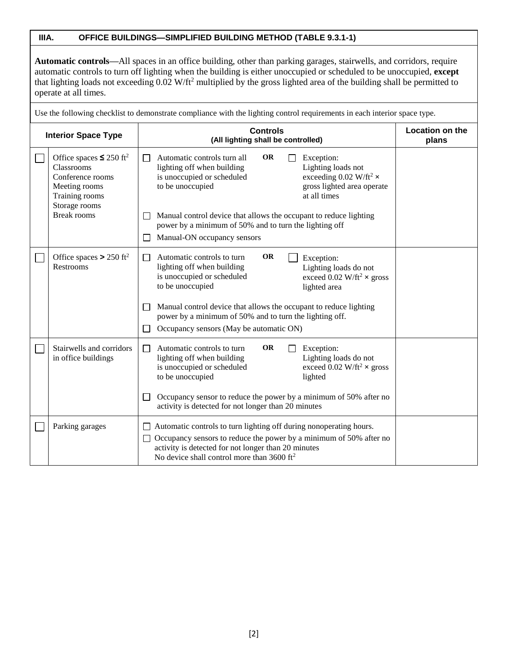#### **IIIA. OFFICE BUILDINGS—SIMPLIFIED BUILDING METHOD (TABLE 9.3.1-1)**

**Automatic controls—**All spaces in an office building, other than parking garages, stairwells, and corridors, require automatic controls to turn off lighting when the building is either unoccupied or scheduled to be unoccupied, **except** that lighting loads not exceeding 0.02 W/ft<sup>2</sup> multiplied by the gross lighted area of the building shall be permitted to operate at all times.

Use the following checklist to demonstrate compliance with the lighting control requirements in each interior space type.

| <b>Interior Space Type</b> |                                                                                                                                                      | <b>Controls</b><br>(All lighting shall be controlled)                                                                                                                                                                                                                                                                                                                                                                 | <b>Location on the</b><br>plans |
|----------------------------|------------------------------------------------------------------------------------------------------------------------------------------------------|-----------------------------------------------------------------------------------------------------------------------------------------------------------------------------------------------------------------------------------------------------------------------------------------------------------------------------------------------------------------------------------------------------------------------|---------------------------------|
|                            | Office spaces $\leq 250$ ft <sup>2</sup><br>Classrooms<br>Conference rooms<br>Meeting rooms<br>Training rooms<br>Storage rooms<br><b>Break rooms</b> | <b>OR</b><br>Automatic controls turn all<br>Exception:<br>lighting off when building<br>Lighting loads not<br>exceeding 0.02 W/ft <sup>2</sup> $\times$<br>is unoccupied or scheduled<br>gross lighted area operate<br>to be unoccupied<br>at all times<br>Manual control device that allows the occupant to reduce lighting<br>power by a minimum of 50% and to turn the lighting off<br>Manual-ON occupancy sensors |                                 |
|                            | Office spaces > 250 ft <sup>2</sup><br><b>Restrooms</b>                                                                                              | <b>OR</b><br>Automatic controls to turn<br>Exception:<br>ΙI<br>lighting off when building<br>Lighting loads do not<br>is unoccupied or scheduled<br>exceed 0.02 W/ft <sup>2</sup> $\times$ gross<br>to be unoccupied<br>lighted area<br>Manual control device that allows the occupant to reduce lighting<br>power by a minimum of 50% and to turn the lighting off.<br>Occupancy sensors (May be automatic ON)       |                                 |
|                            | Stairwells and corridors<br>in office buildings                                                                                                      | <b>OR</b><br>Automatic controls to turn<br>Exception:<br>$\mathsf{L}$<br>Lighting loads do not<br>lighting off when building<br>exceed 0.02 W/ft <sup>2</sup> $\times$ gross<br>is unoccupied or scheduled<br>to be unoccupied<br>lighted<br>Occupancy sensor to reduce the power by a minimum of 50% after no<br>activity is detected for not longer than 20 minutes                                                 |                                 |
|                            | Parking garages                                                                                                                                      | Automatic controls to turn lighting off during nonoperating hours.<br>Occupancy sensors to reduce the power by a minimum of 50% after no<br>activity is detected for not longer than 20 minutes<br>No device shall control more than $3600 \text{ ft}^2$                                                                                                                                                              |                                 |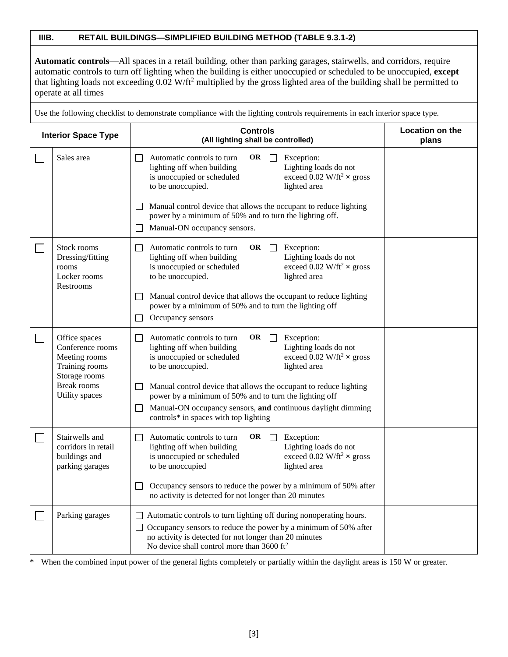#### **IIIB. RETAIL BUILDINGS—SIMPLIFIED BUILDING METHOD (TABLE 9.3.1-2)**

**Automatic controls—**All spaces in a retail building, other than parking garages, stairwells, and corridors, require automatic controls to turn off lighting when the building is either unoccupied or scheduled to be unoccupied, **except** that lighting loads not exceeding 0.02 W/ft<sup>2</sup> multiplied by the gross lighted area of the building shall be permitted to operate at all times

Use the following checklist to demonstrate compliance with the lighting controls requirements in each interior space type.

| <b>Interior Space Type</b> |                                                                                                                               | <b>Controls</b><br>(All lighting shall be controlled)                                                                                                                                                                                                                                                                                                                                                                                                                                                   | Location on the<br>plans |
|----------------------------|-------------------------------------------------------------------------------------------------------------------------------|---------------------------------------------------------------------------------------------------------------------------------------------------------------------------------------------------------------------------------------------------------------------------------------------------------------------------------------------------------------------------------------------------------------------------------------------------------------------------------------------------------|--------------------------|
|                            | Sales area                                                                                                                    | Automatic controls to turn<br>OR $\Box$<br>Exception:<br>$\Box$<br>lighting off when building<br>Lighting loads do not<br>exceed 0.02 W/ft <sup>2</sup> $\times$ gross<br>is unoccupied or scheduled<br>to be unoccupied.<br>lighted area<br>Manual control device that allows the occupant to reduce lighting<br>$\perp$<br>power by a minimum of 50% and to turn the lighting off.<br>Manual-ON occupancy sensors.<br>ΙI                                                                              |                          |
|                            | Stock rooms<br>Dressing/fitting<br>rooms<br>Locker rooms<br>Restrooms                                                         | OR $\Box$ Exception:<br>Automatic controls to turn<br>$\mathsf{L}$<br>lighting off when building<br>Lighting loads do not<br>exceed 0.02 W/ft <sup>2</sup> $\times$ gross<br>is unoccupied or scheduled<br>to be unoccupied.<br>lighted area<br>Manual control device that allows the occupant to reduce lighting<br>$\perp$<br>power by a minimum of 50% and to turn the lighting off<br>Occupancy sensors<br>$\Box$                                                                                   |                          |
|                            | Office spaces<br>Conference rooms<br>Meeting rooms<br>Training rooms<br>Storage rooms<br><b>Break rooms</b><br>Utility spaces | OR $\Box$<br>Exception:<br>Automatic controls to turn<br>$\mathsf{L}$<br>Lighting loads do not<br>lighting off when building<br>exceed 0.02 W/ft <sup>2</sup> $\times$ gross<br>is unoccupied or scheduled<br>to be unoccupied.<br>lighted area<br>Manual control device that allows the occupant to reduce lighting<br>power by a minimum of 50% and to turn the lighting off<br>Manual-ON occupancy sensors, and continuous daylight dimming<br>$\mathsf{L}$<br>controls* in spaces with top lighting |                          |
|                            | Stairwells and<br>corridors in retail<br>buildings and<br>parking garages                                                     | Automatic controls to turn<br>OR $\Box$<br>Exception:<br>$\perp$<br>lighting off when building<br>Lighting loads do not<br>is unoccupied or scheduled<br>exceed 0.02 W/ft <sup>2</sup> $\times$ gross<br>to be unoccupied<br>lighted area<br>Occupancy sensors to reduce the power by a minimum of 50% after<br>$\Box$<br>no activity is detected for not longer than 20 minutes                                                                                                                        |                          |
|                            | Parking garages                                                                                                               | $\Box$ Automatic controls to turn lighting off during nonoperating hours.<br>$\Box$ Occupancy sensors to reduce the power by a minimum of 50% after<br>no activity is detected for not longer than 20 minutes<br>No device shall control more than $3600 \text{ ft}^2$                                                                                                                                                                                                                                  |                          |

\* When the combined input power of the general lights completely or partially within the daylight areas is 150 W or greater.